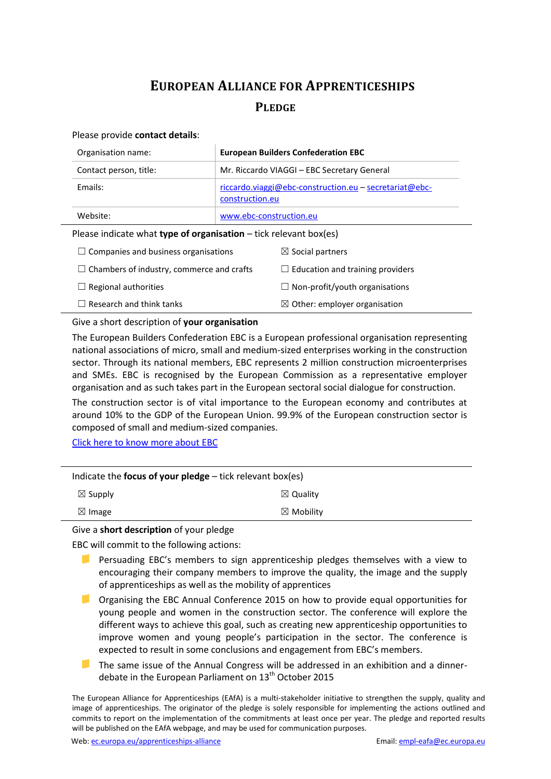## **EUROPEAN ALLIANCE FOR APPRENTICESHIPS PLEDGE**

## Please provide **contact details**:

| Organisation name:                                                  | <b>European Builders Confederation EBC</b>                                |  |
|---------------------------------------------------------------------|---------------------------------------------------------------------------|--|
| Contact person, title:                                              | Mr. Riccardo VIAGGI - EBC Secretary General                               |  |
| Fmails:                                                             | $riccardo.viaggi@ebc-construction.eu-secretariat@ebc-$<br>construction.eu |  |
| Website:                                                            | www.ebc-construction.eu                                                   |  |
| Please indicate what type of organisation $-$ tick relevant box(es) |                                                                           |  |

| $\Box$ Companies and business organisations      | $\boxtimes$ Social partners              |
|--------------------------------------------------|------------------------------------------|
| $\Box$ Chambers of industry, commerce and crafts | $\Box$ Education and training providers  |
| $\Box$ Regional authorities                      | $\Box$ Non-profit/youth organisations    |
| $\Box$ Research and think tanks                  | $\boxtimes$ Other: employer organisation |

## Give a short description of **your organisation**

The European Builders Confederation EBC is a European professional organisation representing national associations of micro, small and medium-sized enterprises working in the construction sector. Through its national members, EBC represents 2 million construction microenterprises and SMEs. EBC is recognised by the European Commission as a representative employer organisation and as such takes part in the European sectoral social dialogue for construction.

The construction sector is of vital importance to the European economy and contributes at around 10% to the GDP of the European Union. 99.9% of the European construction sector is composed of small and medium-sized companies.

[Click here to know more about EBC](http://www.ebc-construction.eu/index.php?id=2)

| Indicate the focus of your pledge $-$ tick relevant box(es) |                      |  |
|-------------------------------------------------------------|----------------------|--|
| $\boxtimes$ Supply                                          | $\boxtimes$ Quality  |  |
| $\boxtimes$ Image                                           | $\boxtimes$ Mobility |  |
|                                                             |                      |  |

Give a **short description** of your pledge

EBC will commit to the following actions:

- Persuading EBC's members to sign apprenticeship pledges themselves with a view to encouraging their company members to improve the quality, the image and the supply of apprenticeships as well as the mobility of apprentices
- **D** Organising the EBC Annual Conference 2015 on how to provide equal opportunities for young people and women in the construction sector. The conference will explore the different ways to achieve this goal, such as creating new apprenticeship opportunities to improve women and young people's participation in the sector. The conference is expected to result in some conclusions and engagement from EBC's members.
- The same issue of the Annual Congress will be addressed in an exhibition and a dinnerdebate in the European Parliament on  $13<sup>th</sup>$  October 2015

The European Alliance for Apprenticeships (EAfA) is a multi-stakeholder initiative to strengthen the supply, quality and image of apprenticeships. The originator of the pledge is solely responsible for implementing the actions outlined and commits to report on the implementation of the commitments at least once per year. The pledge and reported results will be published on the EAfA webpage, and may be used for communication purposes.